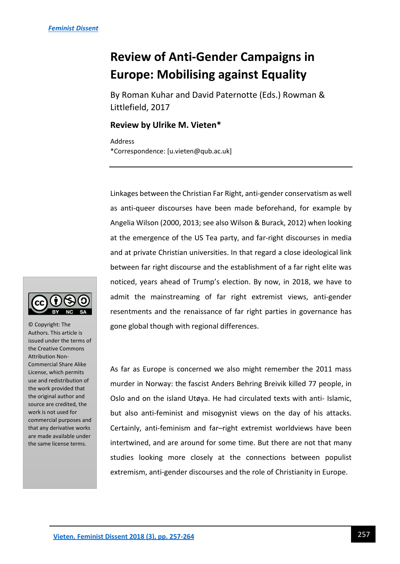# **Review of Anti-Gender Campaigns in Europe: Mobilising against Equality**

By Roman Kuhar and David Paternotte (Eds.) Rowman & Littlefield, 2017

## **Review by Ulrike M. Vieten\***

Address \*Correspondence: [u.vieten@qub.ac.uk]

Linkages between the Christian Far Right, anti-gender conservatism as well as anti-queer discourses have been made beforehand, for example by Angelia Wilson (2000, 2013; see also Wilson & Burack, 2012) when looking at the emergence of the US Tea party, and far-right discourses in media and at private Christian universities. In that regard a close ideological link between far right discourse and the establishment of a far right elite was noticed, years ahead of Trump's election. By now, in 2018, we have to admit the mainstreaming of far right extremist views, anti-gender resentments and the renaissance of far right parties in governance has gone global though with regional differences.

As far as Europe is concerned we also might remember the 2011 mass murder in Norway: the fascist Anders Behring Breivik killed 77 people, in Oslo and on the island Utøya. He had circulated texts with anti- Islamic, but also anti-feminist and misogynist views on the day of his attacks. Certainly, anti-feminism and far–right extremist worldviews have been intertwined, and are around for some time. But there are not that many studies looking more closely at the connections between populist extremism, anti-gender discourses and the role of Christianity in Europe.



© Copyright: The Authors. This article is issued under the terms of the Creative Commons Attribution Non-Commercial Share Alike License, which permits use and redistribution of the work provided that the original author and source are credited, the work is not used for commercial purposes and that any derivative works are made available under the same license terms.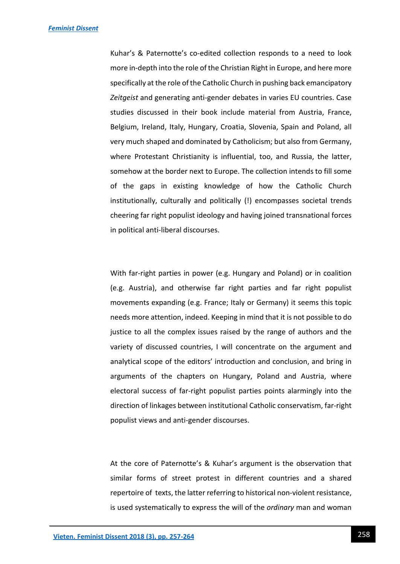Kuhar's & Paternotte's co-edited collection responds to a need to look more in-depth into the role of the Christian Right in Europe, and here more specifically at the role of the Catholic Church in pushing back emancipatory *Zeitgeist* and generating anti-gender debates in varies EU countries. Case studies discussed in their book include material from Austria, France, Belgium, Ireland, Italy, Hungary, Croatia, Slovenia, Spain and Poland, all very much shaped and dominated by Catholicism; but also from Germany, where Protestant Christianity is influential, too, and Russia, the latter, somehow at the border next to Europe. The collection intends to fill some of the gaps in existing knowledge of how the Catholic Church institutionally, culturally and politically (!) encompasses societal trends cheering far right populist ideology and having joined transnational forces in political anti-liberal discourses.

With far-right parties in power (e.g. Hungary and Poland) or in coalition (e.g. Austria), and otherwise far right parties and far right populist movements expanding (e.g. France; Italy or Germany) it seems this topic needs more attention, indeed. Keeping in mind that it is not possible to do justice to all the complex issues raised by the range of authors and the variety of discussed countries, I will concentrate on the argument and analytical scope of the editors' introduction and conclusion, and bring in arguments of the chapters on Hungary, Poland and Austria, where electoral success of far-right populist parties points alarmingly into the direction of linkages between institutional Catholic conservatism, far-right populist views and anti-gender discourses.

At the core of Paternotte's & Kuhar's argument is the observation that similar forms of street protest in different countries and a shared repertoire of texts, the latter referring to historical non-violent resistance, is used systematically to express the will of the *ordinary* man and woman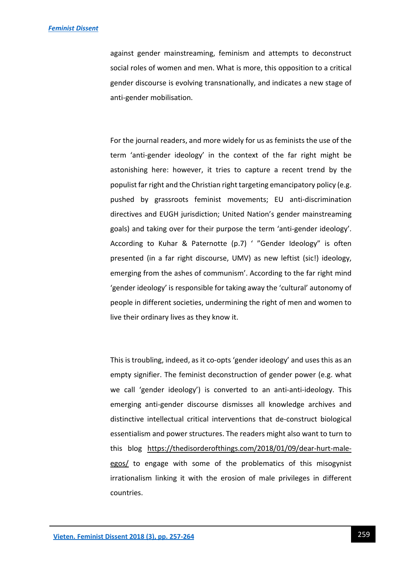against gender mainstreaming, feminism and attempts to deconstruct social roles of women and men. What is more, this opposition to a critical gender discourse is evolving transnationally, and indicates a new stage of anti-gender mobilisation.

For the journal readers, and more widely for us as feminists the use of the term 'anti-gender ideology' in the context of the far right might be astonishing here: however, it tries to capture a recent trend by the populist far right and the Christian right targeting emancipatory policy (e.g. pushed by grassroots feminist movements; EU anti-discrimination directives and EUGH jurisdiction; United Nation's gender mainstreaming goals) and taking over for their purpose the term 'anti-gender ideology'. According to Kuhar & Paternotte (p.7) ' "Gender Ideology" is often presented (in a far right discourse, UMV) as new leftist (sic!) ideology, emerging from the ashes of communism'. According to the far right mind 'gender ideology' is responsible for taking away the 'cultural' autonomy of people in different societies, undermining the right of men and women to live their ordinary lives as they know it.

This is troubling, indeed, as it co-opts 'gender ideology' and uses this as an empty signifier. The feminist deconstruction of gender power (e.g. what we call 'gender ideology') is converted to an anti-anti-ideology. This emerging anti-gender discourse dismisses all knowledge archives and distinctive intellectual critical interventions that de-construct biological essentialism and power structures. The readers might also want to turn to this blog [https://thedisorderofthings.com/2018/01/09/dear-hurt-male](https://thedisorderofthings.com/2018/01/09/dear-hurt-male-egos/)[egos/](https://thedisorderofthings.com/2018/01/09/dear-hurt-male-egos/) to engage with some of the problematics of this misogynist irrationalism linking it with the erosion of male privileges in different countries.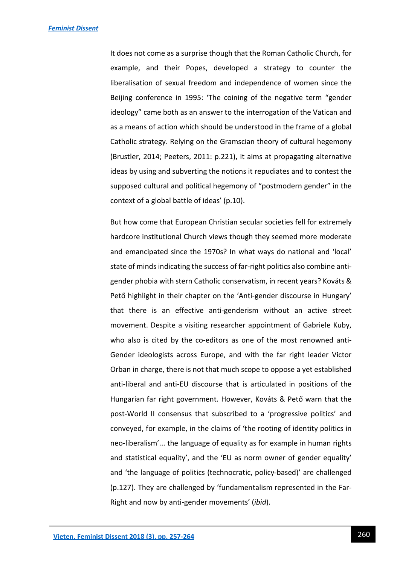It does not come as a surprise though that the Roman Catholic Church, for example, and their Popes, developed a strategy to counter the liberalisation of sexual freedom and independence of women since the Beijing conference in 1995: 'The coining of the negative term "gender ideology" came both as an answer to the interrogation of the Vatican and as a means of action which should be understood in the frame of a global Catholic strategy. Relying on the Gramscian theory of cultural hegemony (Brustler, 2014; Peeters, 2011: p.221), it aims at propagating alternative ideas by using and subverting the notions it repudiates and to contest the supposed cultural and political hegemony of "postmodern gender" in the context of a global battle of ideas' (p.10).

But how come that European Christian secular societies fell for extremely hardcore institutional Church views though they seemed more moderate and emancipated since the 1970s? In what ways do national and 'local' state of minds indicating the success of far-right politics also combine antigender phobia with stern Catholic conservatism, in recent years? Kováts & Pető highlight in their chapter on the 'Anti-gender discourse in Hungary' that there is an effective anti-genderism without an active street movement. Despite a visiting researcher appointment of Gabriele Kuby, who also is cited by the co-editors as one of the most renowned anti-Gender ideologists across Europe, and with the far right leader Victor Orban in charge, there is not that much scope to oppose a yet established anti-liberal and anti-EU discourse that is articulated in positions of the Hungarian far right government. However, Kováts & Pető warn that the post-World II consensus that subscribed to a 'progressive politics' and conveyed, for example, in the claims of 'the rooting of identity politics in neo-liberalism'... the language of equality as for example in human rights and statistical equality', and the 'EU as norm owner of gender equality' and 'the language of politics (technocratic, policy-based)' are challenged (p.127). They are challenged by 'fundamentalism represented in the Far-Right and now by anti-gender movements' (*ibid*).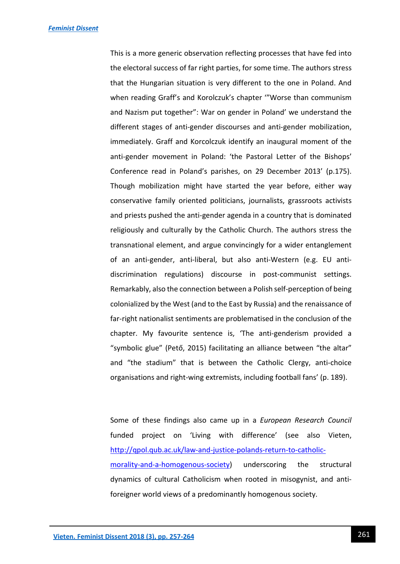This is a more generic observation reflecting processes that have fed into the electoral success of far right parties, for some time. The authors stress that the Hungarian situation is very different to the one in Poland. And when reading Graff's and Korolczuk's chapter '"Worse than communism and Nazism put together": War on gender in Poland' we understand the different stages of anti-gender discourses and anti-gender mobilization, immediately. Graff and Korcolczuk identify an inaugural moment of the anti-gender movement in Poland: 'the Pastoral Letter of the Bishops' Conference read in Poland's parishes, on 29 December 2013' (p.175). Though mobilization might have started the year before, either way conservative family oriented politicians, journalists, grassroots activists and priests pushed the anti-gender agenda in a country that is dominated religiously and culturally by the Catholic Church. The authors stress the transnational element, and argue convincingly for a wider entanglement of an anti-gender, anti-liberal, but also anti-Western (e.g. EU antidiscrimination regulations) discourse in post-communist settings. Remarkably, also the connection between a Polish self-perception of being colonialized by the West (and to the East by Russia) and the renaissance of far-right nationalist sentiments are problematised in the conclusion of the chapter. My favourite sentence is, 'The anti-genderism provided a "symbolic glue" (Pető, 2015) facilitating an alliance between "the altar" and "the stadium" that is between the Catholic Clergy, anti-choice organisations and right-wing extremists, including football fans' (p. 189).

Some of these findings also came up in a *European Research Council* funded project on 'Living with difference' (see also Vieten, [http://qpol.qub.ac.uk/law-and-justice-polands-return-to-catholic](http://qpol.qub.ac.uk/law-and-justice-polands-return-to-catholic-morality-and-a-homogenous-society)[morality-and-a-homogenous-society\)](http://qpol.qub.ac.uk/law-and-justice-polands-return-to-catholic-morality-and-a-homogenous-society) underscoring the structural dynamics of cultural Catholicism when rooted in misogynist, and antiforeigner world views of a predominantly homogenous society.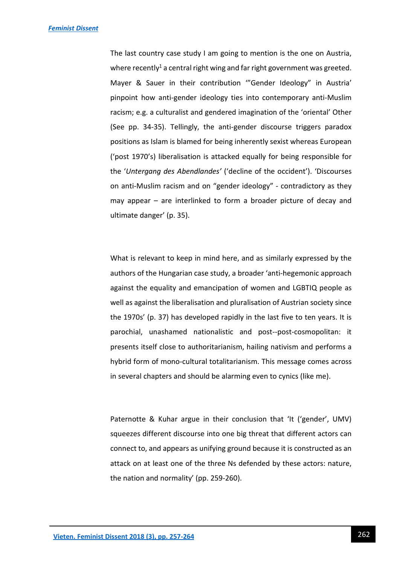The last country case study I am going to mention is the one on Austria, where recently<sup>1</sup> a central right wing and far right government was greeted. Mayer & Sauer in their contribution '"Gender Ideology" in Austria' pinpoint how anti-gender ideology ties into contemporary anti-Muslim racism; e.g. a culturalist and gendered imagination of the 'oriental' Other (See pp. 34-35). Tellingly, the anti-gender discourse triggers paradox positions as Islam is blamed for being inherently sexist whereas European ('post 1970's) liberalisation is attacked equally for being responsible for the '*Untergang des Abendlandes'* ('decline of the occident'). 'Discourses on anti-Muslim racism and on "gender ideology" - contradictory as they may appear – are interlinked to form a broader picture of decay and ultimate danger' (p. 35).

What is relevant to keep in mind here, and as similarly expressed by the authors of the Hungarian case study, a broader 'anti-hegemonic approach against the equality and emancipation of women and LGBTIQ people as well as against the liberalisation and pluralisation of Austrian society since the 1970s' (p. 37) has developed rapidly in the last five to ten years. It is parochial, unashamed nationalistic and post--post-cosmopolitan: it presents itself close to authoritarianism, hailing nativism and performs a hybrid form of mono-cultural totalitarianism. This message comes across in several chapters and should be alarming even to cynics (like me).

Paternotte & Kuhar argue in their conclusion that 'It ('gender', UMV) squeezes different discourse into one big threat that different actors can connect to, and appears as unifying ground because it is constructed as an attack on at least one of the three Ns defended by these actors: nature, the nation and normality' (pp. 259-260).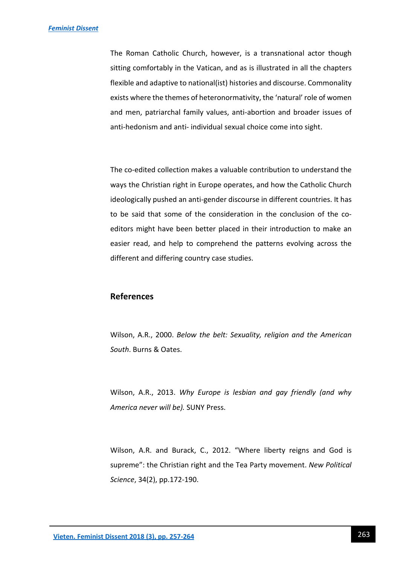The Roman Catholic Church, however, is a transnational actor though sitting comfortably in the Vatican, and as is illustrated in all the chapters flexible and adaptive to national(ist) histories and discourse. Commonality exists where the themes of heteronormativity, the 'natural' role of women and men, patriarchal family values, anti-abortion and broader issues of anti-hedonism and anti- individual sexual choice come into sight.

The co-edited collection makes a valuable contribution to understand the ways the Christian right in Europe operates, and how the Catholic Church ideologically pushed an anti-gender discourse in different countries. It has to be said that some of the consideration in the conclusion of the coeditors might have been better placed in their introduction to make an easier read, and help to comprehend the patterns evolving across the different and differing country case studies.

# **References**

Wilson, A.R., 2000. *Below the belt: Sexuality, religion and the American South*. Burns & Oates.

Wilson, A.R., 2013. *Why Europe is lesbian and gay friendly (and why America never will be).* SUNY Press.

Wilson, A.R. and Burack, C., 2012. "Where liberty reigns and God is supreme": the Christian right and the Tea Party movement. *New Political Science*, 34(2), pp.172-190.